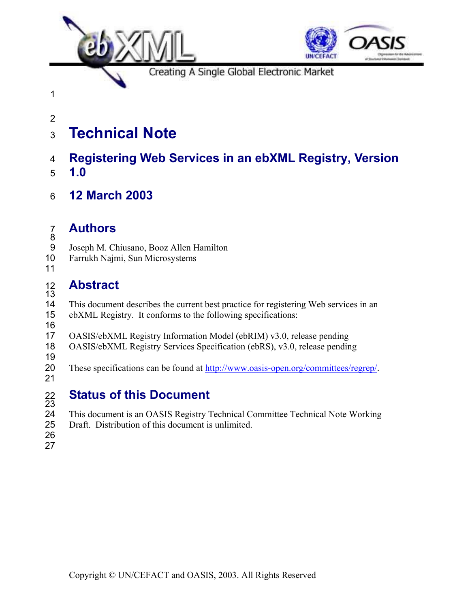

# **Technical Note**

### **Registering Web Services in an ebXML Registry, Version 1.0**

**12 March 2003** 

## **Authors**

- Joseph M. Chiusano, Booz Allen Hamilton
- Farrukh Najmi, Sun Microsystems
- 

#### **Abstract**

This document describes the current best practice for registering Web services in an ebXML Registry. It conforms to the following specifications:

 OASIS/ebXML Registry Information Model (ebRIM) v3.0, release pending

- OASIS/ebXML Registry Services Specification (ebRS), v3.0, release pending
- 

These specifications can be found at http://www.oasis-open.org/committees/regrep/. 

# **Status of this Document**

- 22<br>23<br>24 This document is an OASIS Registry Technical Committee Technical Note Working Draft. Distribution of this document is unlimited.
- 
-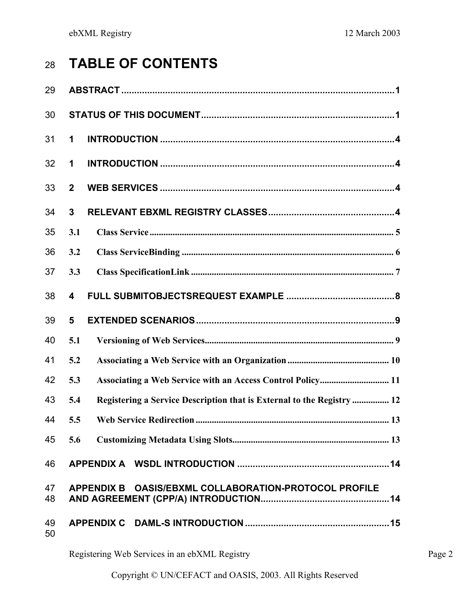# **TABLE OF CONTENTS**

| 29       |                                                                               |
|----------|-------------------------------------------------------------------------------|
| 30       |                                                                               |
| 31       | 1                                                                             |
| 32       | 1                                                                             |
| 33       | $\overline{2}$                                                                |
| 34       | $\overline{3}$                                                                |
| 35       | 3.1                                                                           |
| 36       | 3.2                                                                           |
| 37       | 3.3                                                                           |
| 38       | 4                                                                             |
| 39       | 5                                                                             |
| 40       | 5.1                                                                           |
| 41       | 5.2                                                                           |
| 42       | Associating a Web Service with an Access Control Policy 11<br>5.3             |
| 43       | Registering a Service Description that is External to the Registry  12<br>5.4 |
| 44       | 5.5                                                                           |
| 45       | 5.6                                                                           |
| 46       |                                                                               |
| 47<br>48 | APPENDIX B OASIS/EBXML COLLABORATION-PROTOCOL PROFILE                         |
| 49<br>50 |                                                                               |
|          |                                                                               |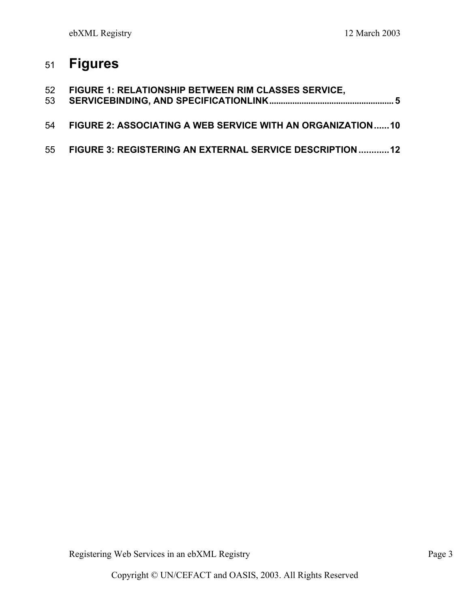# **Figures**

| 53 | 52 FIGURE 1: RELATIONSHIP BETWEEN RIM CLASSES SERVICE,     |
|----|------------------------------------------------------------|
| 54 | FIGURE 2: ASSOCIATING A WEB SERVICE WITH AN ORGANIZATION10 |
| 55 | FIGURE 3: REGISTERING AN EXTERNAL SERVICE DESCRIPTION  12  |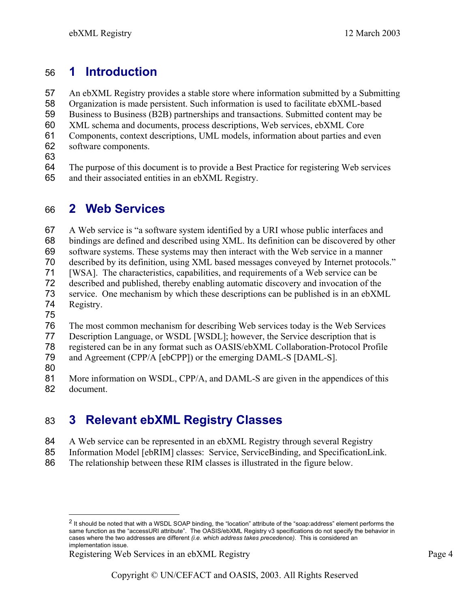## **1 Introduction**

An ebXML Registry provides a stable store where information submitted by a Submitting Organization is made persistent. Such information is used to facilitate ebXML-based Business to Business (B2B) partnerships and transactions. Submitted content may be XML schema and documents, process descriptions, Web services, ebXML Core Components, context descriptions, UML models, information about parties and even software components. 

The purpose of this document is to provide a Best Practice for registering Web services and their associated entities in an ebXML Registry.

# **2 Web Services**

 $\overline{a}$ 

A Web service is "a software system identified by a URI whose public interfaces and bindings are defined and described using XML. Its definition can be discovered by other software systems. These systems may then interact with the Web service in a manner described by its definition, using XML based messages conveyed by Internet protocols." [WSA]. The characteristics, capabilities, and requirements of a Web service can be described and published, thereby enabling automatic discovery and invocation of the service. One mechanism by which these descriptions can be published is in an ebXML Registry. The most common mechanism for describing Web services today is the Web Services Description Language, or WSDL [WSDL]; however, the Service description that is registered can be in any format such as OASIS/ebXML Collaboration-Protocol Profile 79 and Agreement (CPP/A [ebCPP]) or the emerging DAML-S [DAML-S]. 

More information on WSDL, CPP/A, and DAML-S are given in the appendices of this document.

# **3 Relevant ebXML Registry Classes**

- A Web service can be represented in an ebXML Registry through several Registry
- Information Model [ebRIM] classes: Service, ServiceBinding, and SpecificationLink.
- The relationship between these RIM classes is illustrated in the figure below.

<sup>&</sup>lt;sup>2</sup> It should be noted that with a WSDL SOAP binding, the "location" attribute of the "soap:address" element performs the same function as the "accessURI attribute". The OASIS/ebXML Registry v3 specifications do not specify the behavior in cases where the two addresses are different *(i.e. which address takes precedence).* This is considered an implementation issue.

Registering Web Services in an ebXML Registry **Page 4** Page 4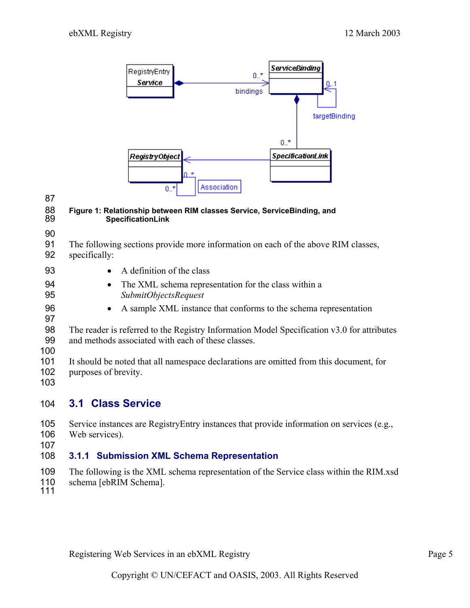

# 

#### **Figure 1: Relationship between RIM classes Service, ServiceBinding, and SpecificationLink**

- The following sections provide more information on each of the above RIM classes, specifically:
- 
- 93 A definition of the class
	- The XML schema representation for the class within a *SubmitObjectsRequest*
	- A sample XML instance that conforms to the schema representation
	- The reader is referred to the Registry Information Model Specification v3.0 for attributes and methods associated with each of these classes.
- 
- It should be noted that all namespace declarations are omitted from this document, for purposes of brevity.
- 

### **3.1 Class Service**

- Service instances are RegistryEntry instances that provide information on services (e.g., Web services).
- 

#### **3.1.1 Submission XML Schema Representation**

- The following is the XML schema representation of the Service class within the RIM.xsd
- schema [ebRIM Schema].
-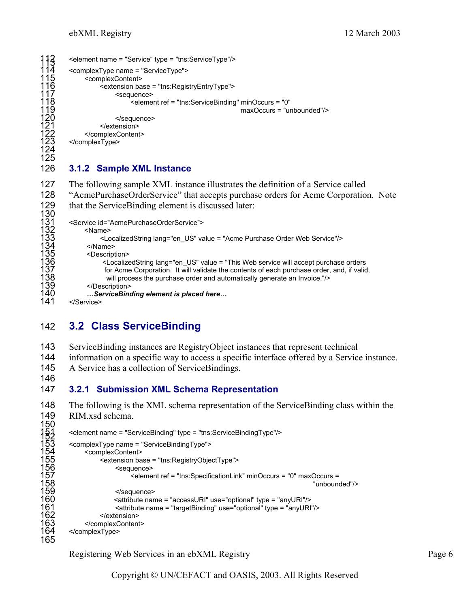```
412 <element name = "Service" type = "tns:ServiceType"/><br>114 <complexType name = "ServiceType"><br>115 <complexContent>
         <complexType name = "ServiceType">
115 <complexContent> 
                   116 <extension base = "tns:RegistryEntryType"> 
117 <sequence> 
                             118 <element ref = "tns:ServiceBinding" minOccurs = "0" 
                                                                 maxOccurs = "unbounded"/>
                        </sequence>
                   </extension>
              </complexContent>
         </complexType>
1190<br>1221<br>123<br>124125 
126 3.1.2 Sample XML Instance 
127 The following sample XML instance illustrates the definition of a Service called
```

```
128 "AcmePurchaseOrderService" that accepts purchase orders for Acme Corporation. Note 
129 that the ServiceBinding element is discussed later:
           <Service id="AcmePurchaseOrderService">
132 <Name> 
133 <LocalizedString lang="en_US" value = "Acme Purchase Order Web Service"/><br>134 </Name><br>135 <Description><br>136 <LocalizedString lang="en_US" value = "This Web service will accept purchase
                 </Name>
                 <Description>
136 <LocalizedString lang="en_US" value = "This Web service will accept purchase orders 
137 for Acme Corporation. It will validate the contents of each purchase order, and, if valid,<br>138 will process the purchase order and automatically generate an Invoice."/><br>139 </Description>
                         will process the purchase order and automatically generate an Invoice."/>
139                  </Description><br>140                  ...ServiceBino
140 …ServiceBinding element is placed here…
```
</Service>

146

### 142 **3.2 Class ServiceBinding**

- 143 ServiceBinding instances are RegistryObject instances that represent technical
- 144 information on a specific way to access a specific interface offered by a Service instance.
- 145 A Service has a collection of ServiceBindings.
- 147 **3.2.1 Submission XML Schema Representation**
- 148 The following is the XML schema representation of the ServiceBinding class within the 149 RIM.xsd schema.

```
150 
        <element name = "ServiceBinding" type = "tns:ServiceBindingType"/>
        153 <complexType name = "ServiceBindingType"> 
             <complexContent>
                  155 <extension base = "tns:RegistryObjectType"> 
                       <sequence>
157 <element ref = "tns:SpecificationLink" minOccurs = "0" maxOccurs = 
158 "unbounded"/> 
159 </sequence> 
                      160 <attribute name = "accessURI" use="optional" type = "anyURI"/> 
161        <attribute name = "targetBinding" use="optional" type = "anyURI"/><br>162       </extension>
162                     </extension><br>163                  </complexContent
163                 </complexContent><br>164         </complexTvpe>
        </complexType>
165
```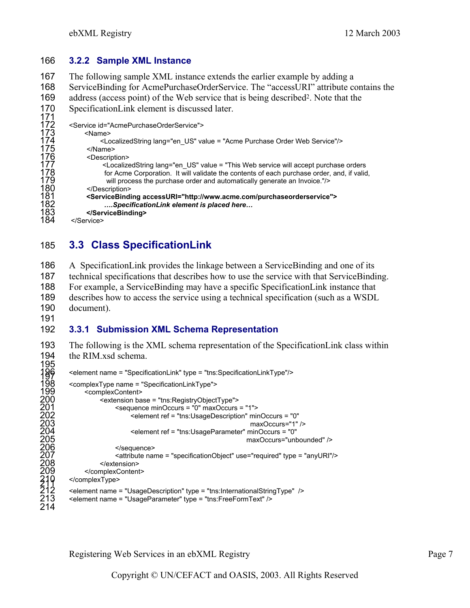#### 166 **3.2.2 Sample XML Instance**

167 The following sample XML instance extends the earlier example by adding a 168 ServiceBinding for AcmePurchaseOrderService. The "accessURI" attribute contains the 169 address (access point) of the Web service that is being described<sup>2</sup>. Note that the 170 SpecificationLink element is discussed later.<br>171<br>172 <Service id="AcmePurchaseOrderService"> <Service id="AcmePurchaseOrderService">

| 173 | <name></name>                                                                                                                                                                                                                                                                                                                                                                                             |
|-----|-----------------------------------------------------------------------------------------------------------------------------------------------------------------------------------------------------------------------------------------------------------------------------------------------------------------------------------------------------------------------------------------------------------|
| 174 | <localizedstring lang="en US" value="Acme Purchase Order Web Service"></localizedstring>                                                                                                                                                                                                                                                                                                                  |
| 175 |                                                                                                                                                                                                                                                                                                                                                                                                           |
| 176 | <description></description>                                                                                                                                                                                                                                                                                                                                                                               |
| 177 | <localizedstring lang="en_US" value="This Web service will accept purchase orders&lt;/td&gt;&lt;/tr&gt;&lt;tr&gt;&lt;td&gt;178&lt;/td&gt;&lt;td&gt;for Acme Corporation. It will validate the contents of each purchase order, and, if valid,&lt;/td&gt;&lt;/tr&gt;&lt;tr&gt;&lt;td&gt;179&lt;/td&gt;&lt;td&gt;will process the purchase order and automatically generate an Invoice."></localizedstring> |
| 180 |                                                                                                                                                                                                                                                                                                                                                                                                           |
| 181 | <servicebinding accessuri="http://www.acme.com/purchaseorderservice"></servicebinding>                                                                                                                                                                                                                                                                                                                    |
| 182 | SpecificationLink element is placed here                                                                                                                                                                                                                                                                                                                                                                  |
| 183 |                                                                                                                                                                                                                                                                                                                                                                                                           |
| 184 |                                                                                                                                                                                                                                                                                                                                                                                                           |

### 185 **3.3 Class SpecificationLink**

A SpecificationLink provides the linkage between a ServiceBinding and one of its technical specifications that describes how to use the service with that ServiceBinding. For example, a ServiceBinding may have a specific SpecificationLink instance that describes how to access the service using a technical specification (such as a WSDL document).

191

#### 192 **3.3.1 Submission XML Schema Representation**

193 The following is the XML schema representation of the SpecificationLink class within 194 the RIM.xsd schema. 195<br>196<br>198

```
196 <element name = "SpecificationLink" type = "tns:SpecificationLinkType"/> 197 
198 <complexType name = "SpecificationLinkType"><br>
199 <complexContent><br>
200 extension base = "tns:RegistryObject"<br>
201 sequence minOccurs = "0" max<br>
202 selement ref = "tns:UsageDe<br>
203<br>
204 selement ref = "tns:UsagePa<br>
20
                  <complexContent>
                        200 <extension base = "tns:RegistryObjectType"> 
                               \leqsequence minOccurs = "0" maxOccurs = "1">
                                     202 <element ref = "tns:UsageDescription" minOccurs = "0" 
                                                                                       maxOccurs="1" />
                                     204 <element ref = "tns:UsageParameter" minOccurs = "0" 
                                                                                     maxOccurs="unbounded" />
                               </sequence>
                               207 <attribute name = "specificationObject" use="required" type = "anyURI"/> 
                         </extension>
                  </complexContent>
            </complexType>
            212 <element name = "UsageDescription" type = "tns:InternationalStringType" /> 
            <element name = "UsageParameter" type = "tns:FreeFormText" />
214
```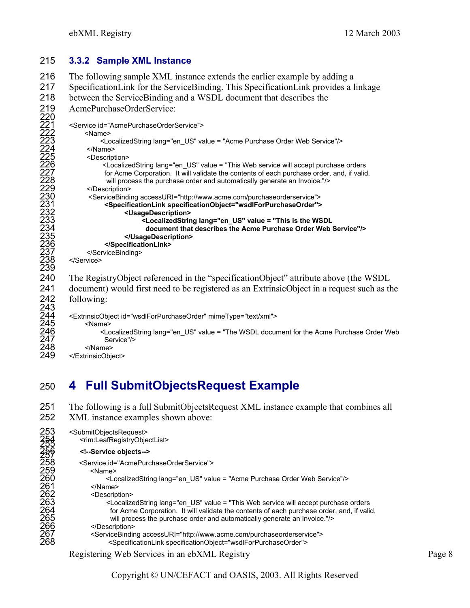#### 215 **3.3.2 Sample XML Instance**

216 The following sample XML instance extends the earlier example by adding a 217 SpecificationLink for the ServiceBinding. This SpecificationLink provides a linkage 218 between the ServiceBinding and a WSDL document that describes the AcmePurchaseOrderService: 220 <Service id="AcmePurchaseOrderService"> 222 <Name> <LocalizedString lang="en\_US" value = "Acme Purchase Order Web Service"/> 224 </Name> <Description> 226 <LocalizedString lang="en\_US" value = "This Web service will accept purchase orders for Acme Corporation. It will validate the contents of each purchase order, and, if valid, will process the purchase order and automatically generate an Invoice."/> </Description> 230 <ServiceBinding accessURI="http://www.acme.com/purchaseorderservice"> 231 **<SpecificationLink specificationObject="wsdlForPurchaseOrder">**  232 **<UsageDescription>**  233 **<LocalizedString lang="en\_US" value = "This is the WSDL**  234 **document that describes the Acme Purchase Order Web Service"/>**  235 **</UsageDescription>**  236 **</SpecificationLink>** </ServiceBinding> </Service> 239 240 The RegistryObject referenced in the "specificationObject" attribute above (the WSDL 241 document) would first need to be registered as an ExtrinsicObject in a request such as the 242 following:<br>
243<br>
244 <<br>  $\leq$  ExtrinsicOb<br>
245<br>
246<br>
247 S <ExtrinsicObject id="wsdlForPurchaseOrder" mimeType="text/xml"> <Name> 246 <LocalizedString lang="en\_US" value = "The WSDL document for the Acme Purchase Order Web 247 Service"/> </Name> </ExtrinsicObject>

# 250 **4 Full SubmitObjectsRequest Example**

251 The following is a full SubmitObjectsRequest XML instance example that combines all 252 XML instance examples shown above:

| 253<br><b>2545<br/>2556<br/>2558</b> | <submitobjectsrequest><br/><rim:leafregistryobjectlist></rim:leafregistryobjectlist></submitobjectsrequest>                                                                                                                                                                                                                                                                                               |
|--------------------------------------|-----------------------------------------------------------------------------------------------------------------------------------------------------------------------------------------------------------------------------------------------------------------------------------------------------------------------------------------------------------------------------------------------------------|
|                                      | Service objects                                                                                                                                                                                                                                                                                                                                                                                           |
|                                      | <service id="AcmePurchaseOrderService"></service>                                                                                                                                                                                                                                                                                                                                                         |
| 259                                  | <name></name>                                                                                                                                                                                                                                                                                                                                                                                             |
| 260                                  | <localizedstring lang="en US" value="Acme Purchase Order Web Service"></localizedstring>                                                                                                                                                                                                                                                                                                                  |
| 261                                  |                                                                                                                                                                                                                                                                                                                                                                                                           |
| 262                                  | <description></description>                                                                                                                                                                                                                                                                                                                                                                               |
| 263                                  | <localizedstring lang="en US" value="This Web service will accept purchase orders&lt;/th&gt;&lt;/tr&gt;&lt;tr&gt;&lt;th&gt;264&lt;/th&gt;&lt;th&gt;for Acme Corporation. It will validate the contents of each purchase order, and, if valid,&lt;/th&gt;&lt;/tr&gt;&lt;tr&gt;&lt;th&gt;265&lt;/th&gt;&lt;th&gt;will process the purchase order and automatically generate an Invoice."></localizedstring> |
| 266                                  |                                                                                                                                                                                                                                                                                                                                                                                                           |
| 267                                  | <servicebinding accessuri="http://www.acme.com/purchaseorderservice"></servicebinding>                                                                                                                                                                                                                                                                                                                    |
| 268                                  | <specificationlink specificationobject="wsdlForPurchaseOrder"></specificationlink>                                                                                                                                                                                                                                                                                                                        |
|                                      |                                                                                                                                                                                                                                                                                                                                                                                                           |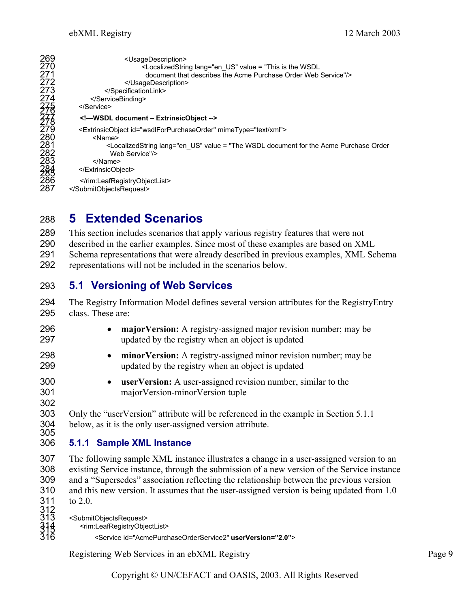| 269<br>270<br>271<br>272<br>273<br>274<br>278<br>278<br>278<br>279 | <usagedescription><br/><localizedstring lang="en_US" value="This is the WSDL&lt;br&gt;document that describes the Acme Purchase Order Web Service"></localizedstring><br/></usagedescription><br><br><br>                                     |
|--------------------------------------------------------------------|-----------------------------------------------------------------------------------------------------------------------------------------------------------------------------------------------------------------------------------------------|
|                                                                    | -WSDL document - ExtrinsicObject --                                                                                                                                                                                                           |
| 280<br>281<br>282<br>283<br>288<br>288<br>286                      | <extrinsicobject id="wsdlForPurchaseOrder" mimetype="text/xml"><br/><name><br/><localizedstring lang="en US" value="The WSDL document for the Acme Purchase Order&lt;br&gt;Web Service"></localizedstring><br/></name><br/></extrinsicobject> |
| 287                                                                | <br>                                                                                                                                                                                                                                          |

# 288 **5 Extended Scenarios**

289 This section includes scenarios that apply various registry features that were not 290 described in the earlier examples. Since most of these examples are based on XML 291 Schema representations that were already described in previous examples, XML Schema

292 representations will not be included in the scenarios below.

### 293 **5.1 Versioning of Web Services**

294 The Registry Information Model defines several version attributes for the RegistryEntry 295 class. These are:

| 296<br>297        | major Version: A registry-assigned major revision number; may be<br>$\bullet$<br>updated by the registry when an object is updated |
|-------------------|------------------------------------------------------------------------------------------------------------------------------------|
| 298<br>299        | minor Version: A registry-assigned minor revision number; may be<br>$\bullet$<br>updated by the registry when an object is updated |
| 300<br>301<br>302 | <b>userVersion:</b> A user-assigned revision number, similar to the<br>$\bullet$<br>major Version-minor Version tuple              |

303 Only the "userVersion" attribute will be referenced in the example in Section 5.1.1 304 below, as it is the only user-assigned version attribute.<br>305

#### 306 **5.1.1 Sample XML Instance**

307 The following sample XML instance illustrates a change in a user-assigned version to an 308 existing Service instance, through the submission of a new version of the Service instance 309 and a "Supersedes" association reflecting the relationship between the previous version 310 and this new version. It assumes that the user-assigned version is being updated from 1. and this new version. It assumes that the user-assigned version is being updated from 1.0 311 to 2.0.

 $312$ <br> $313$ <br> $314$ <br> $316$ <SubmitObjectsRequest>

<rim:LeafRegistryObjectList>

316 <Service id="AcmePurchaseOrderService2" **userVersion="2.0"**>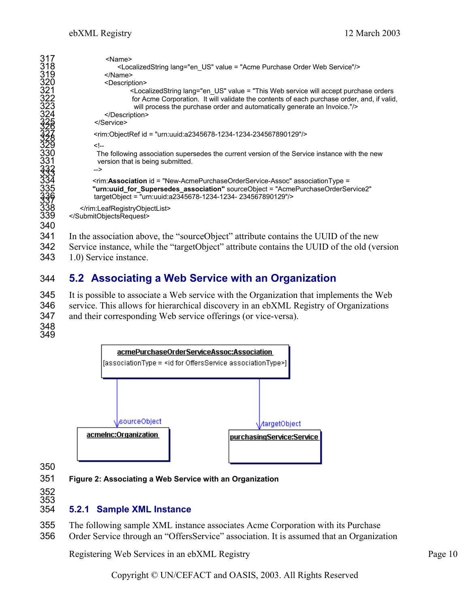| 317<br>318<br>319<br>320                           | <name><br/><localizedstring lang="en US" value="Acme Purchase Order Web Service"></localizedstring><br/></name><br><description></description>                                                                                                                                                    |
|----------------------------------------------------|---------------------------------------------------------------------------------------------------------------------------------------------------------------------------------------------------------------------------------------------------------------------------------------------------|
| 321<br>322<br>32333223232323232325                 | <localizedstring lang="en US" value="This Web service will accept purchase orders&lt;br&gt;for Acme Corporation. It will validate the contents of each purchase order, and, if valid,&lt;br&gt;will process the purchase order and automatically generate an Invoice."></localizedstring><br><br> |
|                                                    | $\epsilon$ rim:ObjectRef id = "urn:uuid:a2345678-1234-1234-234567890129"/>                                                                                                                                                                                                                        |
| $\overline{3}\overline{3}0$<br>331<br>3333<br>3344 | <br>The following association supersedes the current version of the Service instance with the new<br>version that is being submitted.<br>                                                                                                                                                         |
| 335<br>3396<br>338                                 | <rim: association="" associationtype="&lt;br" id="New-AcmePurchaseOrderService-Assoc">"urn:uuid_for_Supersedes_association" sourceObject = "AcmePurchaseOrderService2"<br/>targetObject = "urn:uuid:a2345678-1234-1234-234567890129"/&gt;</rim:>                                                  |
| 339<br>340                                         | <br>                                                                                                                                                                                                                                                                                              |
| <b></b>                                            | $\sim$ 1 $\sim$ 1 $\prime$<br>.<br>$\sim$ 1 $\cdot$<br>$\cdots$                                                                                                                                                                                                                                   |

341 In the association above, the "sourceObject" attribute contains the UUID of the new 342 Service instance, while the "targetObject" attribute contains the UUID of the old (version 343 1.0) Service instance.

### 344 **5.2 Associating a Web Service with an Organization**

345 It is possible to associate a Web service with the Organization that implements the Web 346 service. This allows for hierarchical discovery in an ebXML Registry of Organizations 347 and their corresponding Web service offerings (or vice-versa).

348 349



350

351 **Figure 2: Associating a Web Service with an Organization**

352 353

#### 354 **5.2.1 Sample XML Instance**

355 The following sample XML instance associates Acme Corporation with its Purchase 356 Order Service through an "OffersService" association. It is assumed that an Organization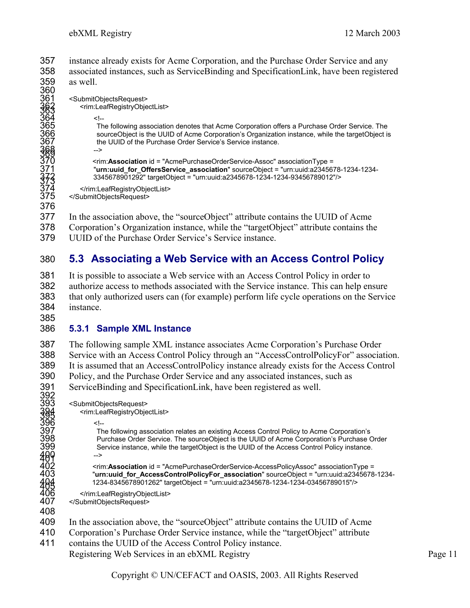instance already exists for Acme Corporation, and the Purchase Order Service and any associated instances, such as ServiceBinding and SpecificationLink, have been registered as well. 360<br>361

<SubmitObjectsRequest>

362 <rim:LeafRegistryObjectList> 363

 $364$   $\leq$   $\leq$ The following association denotes that Acme Corporation offers a Purchase Order Service. The sourceObject is the UUID of Acme Corporation's Organization instance, while the targetObject is the UUID of the Purchase Order Service's Service instance.

 $\frac{368}{309}$  --> 370 <rim:**Association** id = "AcmePurchaseOrderService-Assoc" associationType = 371 "**urn:uuid\_for\_OffersService\_association**" sourceObject = "urn:uuid:a2345678-1234-1234- 372 3345678901292" targetObject = "urn:uuid:a2345678-1234-1234-93456789012"/> 373

</rim:LeafRegistryObjectList> 375 </SubmitObjectsRequest>

376

377 In the association above, the "sourceObject" attribute contains the UUID of Acme

378 Corporation's Organization instance, while the "targetObject" attribute contains the 379 UUID of the Purchase Order Service's Service instance.

# 380 **5.3 Associating a Web Service with an Access Control Policy**

It is possible to associate a Web service with an Access Control Policy in order to authorize access to methods associated with the Service instance. This can help ensure that only authorized users can (for example) perform life cycle operations on the Service instance.

385

408

#### 386 **5.3.1 Sample XML Instance**

The following sample XML instance associates Acme Corporation's Purchase Order Service with an Access Control Policy through an "AccessControlPolicyFor" association. It is assumed that an AccessControlPolicy instance already exists for the Access Control Policy, and the Purchase Order Service and any associated instances, such as

391 ServiceBinding and SpecificationLink, have been registered as well.<br>392 <SubmitObjectsRequest> <SubmitObjectsRequest> 394 <rim:LeafRegistryObjectList> 395 398896456 The following association relates an existing Access Control Policy to Acme Corporation's Purchase Order Service. The sourceObject is the UUID of Acme Corporation's Purchase Order Service instance, while the targetObject is the UUID of the Access Control Policy instance.  $400$ <br>  $402$ <br>  $403$ <br>  $403$ <br>  $\frac{1}{100}$ <br>  $\frac{1}{100}$ 402 <rim:**Association** id = "AcmePurchaseOrderService-AccessPolicyAssoc" associationType = 403 "**urn:uuid\_for\_AccessControlPolicyFor\_association**" sourceObject = "urn:uuid:a2345678-1234- 404 1234-8345678901262" targetObject = "urn:uuid:a2345678-1234-1234-03456789015"/> 405

406 </rim:LeafRegistryObjectList><br>407 </SubmitObjectsRequest> 407 </SubmitObjectsRequest>

- 409 In the association above, the "sourceObject" attribute contains the UUID of Acme
- 410 Corporation's Purchase Order Service instance, while the "targetObject" attribute
- Registering Web Services in an ebXML Registry Page 11 411 contains the UUID of the Access Control Policy instance.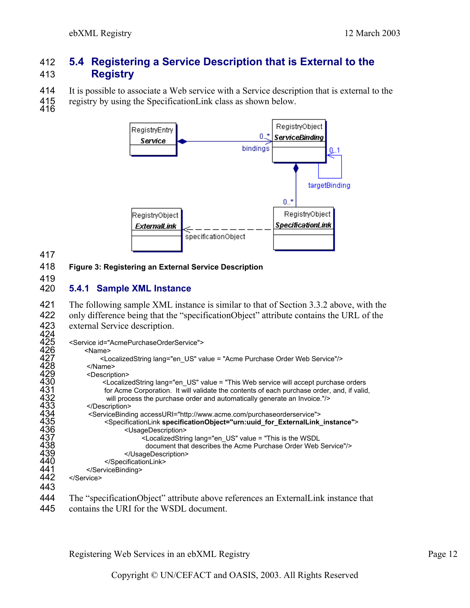### 412 **5.4 Registering a Service Description that is External to the**  413 **Registry**

414 It is possible to associate a Web service with a Service description that is external to the 415 registry by using the Specification Link class as shown below.

- registry by using the SpecificationLink class as shown below.
- 



#### 417

#### 418 **Figure 3: Registering an External Service Description**

#### 419 420 **5.4.1 Sample XML Instance**

421 The following sample XML instance is similar to that of Section 3.3.2 above, with the 422 only difference being that the "specificationObject" attribute contains the URL of the 423 external Service description.<br> $424$ 

| ╌╌  |                                                                                                                                                                                                                                                                                                                                                                                                           |
|-----|-----------------------------------------------------------------------------------------------------------------------------------------------------------------------------------------------------------------------------------------------------------------------------------------------------------------------------------------------------------------------------------------------------------|
| 425 | <service id="AcmePurchaseOrderService"></service>                                                                                                                                                                                                                                                                                                                                                         |
| 426 | <name></name>                                                                                                                                                                                                                                                                                                                                                                                             |
| 427 | <localizedstring lang="en US" value="Acme Purchase Order Web Service"></localizedstring>                                                                                                                                                                                                                                                                                                                  |
| 428 |                                                                                                                                                                                                                                                                                                                                                                                                           |
| 429 | <description></description>                                                                                                                                                                                                                                                                                                                                                                               |
| 430 | <localizedstring lang="en US" value="This Web service will accept purchase orders&lt;/th&gt;&lt;/tr&gt;&lt;tr&gt;&lt;th&gt;431&lt;/th&gt;&lt;th&gt;for Acme Corporation. It will validate the contents of each purchase order, and, if valid,&lt;/th&gt;&lt;/tr&gt;&lt;tr&gt;&lt;th&gt;432&lt;/th&gt;&lt;th&gt;will process the purchase order and automatically generate an Invoice."></localizedstring> |
| 433 |                                                                                                                                                                                                                                                                                                                                                                                                           |
| 434 | <servicebinding accessuri="http://www.acme.com/purchaseorderservice"></servicebinding>                                                                                                                                                                                                                                                                                                                    |
| 435 | <specificationlink specificationobject="urn:uuid_for_ExternalLink_instance"></specificationlink>                                                                                                                                                                                                                                                                                                          |
| 436 | <usagedescription></usagedescription>                                                                                                                                                                                                                                                                                                                                                                     |
| 437 | <localizedstring lang="en US" value="This is the WSDL&lt;/th&gt;&lt;/tr&gt;&lt;tr&gt;&lt;th&gt;438&lt;/th&gt;&lt;th&gt;document that describes the Acme Purchase Order Web Service"></localizedstring>                                                                                                                                                                                                    |
| 439 |                                                                                                                                                                                                                                                                                                                                                                                                           |
| 440 |                                                                                                                                                                                                                                                                                                                                                                                                           |
| 441 |                                                                                                                                                                                                                                                                                                                                                                                                           |
| 442 |                                                                                                                                                                                                                                                                                                                                                                                                           |
| 443 |                                                                                                                                                                                                                                                                                                                                                                                                           |
| 444 |                                                                                                                                                                                                                                                                                                                                                                                                           |
|     | The "specificationObject" attribute above references an External Link instance that                                                                                                                                                                                                                                                                                                                       |

445 contains the URI for the WSDL document.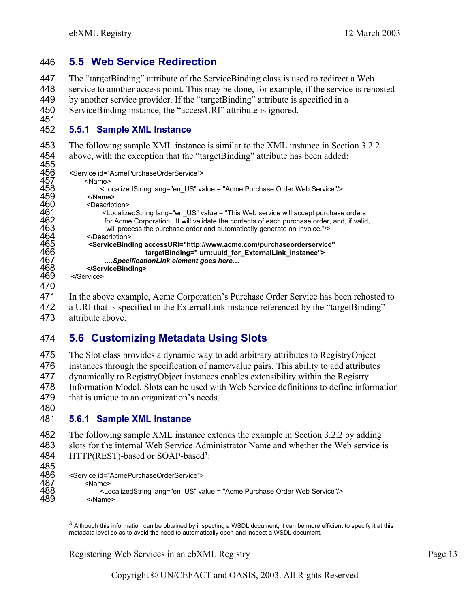### 446 **5.5 Web Service Redirection**

The "targetBinding" attribute of the ServiceBinding class is used to redirect a Web service to another access point. This may be done, for example, if the service is rehosted by another service provider. If the "targetBinding" attribute is specified in a ServiceBinding instance, the "accessURI" attribute is ignored.

451 452 **5.5.1 Sample XML Instance** 

453 The following sample XML instance is similar to the XML instance in Section 3.2.2 454 above, with the exception that the "targetBinding" attribute has been added:

```
455<br>456
456 <Service id="AcmePurchaseOrderService"> 
457 <Name> 
458 <LocalizedString lang="en_US" value = "Acme Purchase Order Web Service"/><br>459 </Name><br>460 <Description>
               459 </Name> 
460 <Description> 
461 <LocalizedString lang="en_US" value = "This Web service will accept purchase orders 
462 for Acme Corporation. It will validate the contents of each purchase order, and, if valid,<br>463 will process the purchase order and automatically generate an Invoice."/>
will process the purchase order and automatically generate an Invoice."/><br>464 </Description><br>465 <ServiceBinding accessURI="http://www.acme.com/purchaseorderservice>
               </Description>
465 <ServiceBinding accessURI="http://www.acme.com/purchaseorderservice" 
466 targetBinding=" urn:uuid_for_ExternalLink_instance"> 
467 ….SpecificationLink element goes here… 
468 </ServiceBinding> 
          </Service>
470
```
471 In the above example, Acme Corporation's Purchase Order Service has been rehosted to 472 a URI that is specified in the ExternalLink instance referenced by the "targetBinding" 473 attribute above.

### 474 **5.6 Customizing Metadata Using Slots**

The Slot class provides a dynamic way to add arbitrary attributes to RegistryObject instances through the specification of name/value pairs. This ability to add attributes dynamically to RegistryObject instances enables extensibility within the Registry Information Model. Slots can be used with Web Service definitions to define information that is unique to an organization's needs.

480

 $\overline{a}$ 

#### 481 **5.6.1 Sample XML Instance**

482 The following sample XML instance extends the example in Section 3.2.2 by adding 483 slots for the internal Web Service Administrator Name and whether the Web service is 484 HTTP(REST)-based or SOAP-based<sup>3</sup>:

485<br>486 486 <Service id="AcmePurchaseOrderService"> 487 <Name> 488 <LocalizedString lang="en\_US" value = "Acme Purchase Order Web Service"/> 489 </Name>

<sup>&</sup>lt;sup>3</sup> Although this information can be obtained by inspecting a WSDL document, it can be more efficient to specify it at this metadata level so as to avoid the need to automatically open and inspect a WSDL document.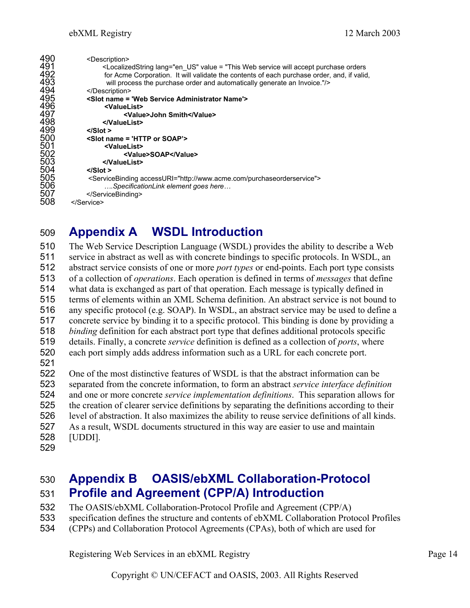| 490 | <description></description>                                                                                                                                                                                                                                                                                                                                                                               |
|-----|-----------------------------------------------------------------------------------------------------------------------------------------------------------------------------------------------------------------------------------------------------------------------------------------------------------------------------------------------------------------------------------------------------------|
| 491 | <localizedstring lang="en US" value="This Web service will accept purchase orders&lt;/td&gt;&lt;/tr&gt;&lt;tr&gt;&lt;td&gt;492&lt;/td&gt;&lt;td&gt;for Acme Corporation. It will validate the contents of each purchase order, and, if valid,&lt;/td&gt;&lt;/tr&gt;&lt;tr&gt;&lt;td&gt;493&lt;/td&gt;&lt;td&gt;will process the purchase order and automatically generate an Invoice."></localizedstring> |
| 494 |                                                                                                                                                                                                                                                                                                                                                                                                           |
| 495 | <slot name="Web Service Administrator Name"></slot>                                                                                                                                                                                                                                                                                                                                                       |
| 496 | <valuelist></valuelist>                                                                                                                                                                                                                                                                                                                                                                                   |
| 497 | <value>John Smith</value>                                                                                                                                                                                                                                                                                                                                                                                 |
| 498 |                                                                                                                                                                                                                                                                                                                                                                                                           |
| 499 | $<$ /Slot >                                                                                                                                                                                                                                                                                                                                                                                               |
| 500 | <slot name="HTTP or SOAP"></slot>                                                                                                                                                                                                                                                                                                                                                                         |
| 501 | <valuelist></valuelist>                                                                                                                                                                                                                                                                                                                                                                                   |
| 502 | <value>SOAP</value>                                                                                                                                                                                                                                                                                                                                                                                       |
| 503 |                                                                                                                                                                                                                                                                                                                                                                                                           |
| 504 | $<$ /Slot >                                                                                                                                                                                                                                                                                                                                                                                               |
| 505 | <servicebinding accessuri="http://www.acme.com/purchaseorderservice"></servicebinding>                                                                                                                                                                                                                                                                                                                    |
| 506 | SpecificationLink element goes here                                                                                                                                                                                                                                                                                                                                                                       |
| 507 |                                                                                                                                                                                                                                                                                                                                                                                                           |
| 508 |                                                                                                                                                                                                                                                                                                                                                                                                           |
|     |                                                                                                                                                                                                                                                                                                                                                                                                           |

# **Appendix A WSDL Introduction**

The Web Service Description Language (WSDL) provides the ability to describe a Web service in abstract as well as with concrete bindings to specific protocols. In WSDL, an abstract service consists of one or more *port types* or end-points. Each port type consists of a collection of *operations*. Each operation is defined in terms of *messages* that define what data is exchanged as part of that operation. Each message is typically defined in terms of elements within an XML Schema definition. An abstract service is not bound to any specific protocol (e.g. SOAP). In WSDL, an abstract service may be used to define a concrete service by binding it to a specific protocol. This binding is done by providing a *binding* definition for each abstract port type that defines additional protocols specific details. Finally, a concrete *service* definition is defined as a collection of *ports*, where each port simply adds address information such as a URL for each concrete port. One of the most distinctive features of WSDL is that the abstract information can be

separated from the concrete information, to form an abstract *service interface definition* and one or more concrete *service implementation definitions*. This separation allows for the creation of clearer service definitions by separating the definitions according to their level of abstraction. It also maximizes the ability to reuse service definitions of all kinds. As a result, WSDL documents structured in this way are easier to use and maintain [UDDI].

## **Appendix B OASIS/ebXML Collaboration-Protocol Profile and Agreement (CPP/A) Introduction**

- The OASIS/ebXML Collaboration-Protocol Profile and Agreement (CPP/A)
- specification defines the structure and contents of ebXML Collaboration Protocol Profiles
- (CPPs) and Collaboration Protocol Agreements (CPAs), both of which are used for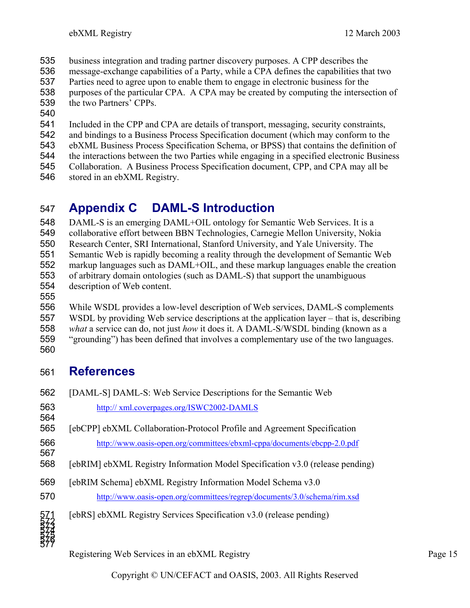- business integration and trading partner discovery purposes. A CPP describes the
- message-exchange capabilities of a Party, while a CPA defines the capabilities that two
- Parties need to agree upon to enable them to engage in electronic business for the
- purposes of the particular CPA. A CPA may be created by computing the intersection of the two Partners' CPPs.
- 
- Included in the CPP and CPA are details of transport, messaging, security constraints,
- and bindings to a Business Process Specification document (which may conform to the
- ebXML Business Process Specification Schema, or BPSS) that contains the definition of
- the interactions between the two Parties while engaging in a specified electronic Business
- Collaboration. A Business Process Specification document, CPP, and CPA may all be
- stored in an ebXML Registry.

# **Appendix C DAML-S Introduction**

DAML-S is an emerging DAML+OIL ontology for Semantic Web Services. It is a collaborative effort between BBN Technologies, Carnegie Mellon University, Nokia Research Center, SRI International, Stanford University, and Yale University. The Semantic Web is rapidly becoming a reality through the development of Semantic Web markup languages such as DAML+OIL, and these markup languages enable the creation of arbitrary domain ontologies (such as DAML-S) that support the unambiguous description of Web content.

While WSDL provides a low-level description of Web services, DAML-S complements WSDL by providing Web service descriptions at the application layer – that is, describing *what* a service can do, not just *how* it does it. A DAML-S/WSDL binding (known as a "grounding") has been defined that involves a complementary use of the two languages. 

# **References**

| 562                        | [DAML-S] DAML-S: Web Service Descriptions for the Semantic Web                |
|----------------------------|-------------------------------------------------------------------------------|
| 563<br>564                 | http://xml.coverpages.org/ISWC2002-DAMLS                                      |
| 565                        | [ebCPP] ebXML Collaboration-Protocol Profile and Agreement Specification      |
| 566<br>567                 | http://www.oasis-open.org/committees/ebxml-cppa/documents/ebcpp-2.0.pdf       |
| 568                        | [ebRIM] ebXML Registry Information Model Specification v3.0 (release pending) |
| 569                        | [ebRIM Schema] ebXML Registry Information Model Schema v3.0                   |
| 570                        | http://www.oasis-open.org/committees/regrep/documents/3.0/schema/rim.xsd      |
| 571<br>5774<br>5774<br>577 | [ebRS] ebXML Registry Services Specification v3.0 (release pending)           |